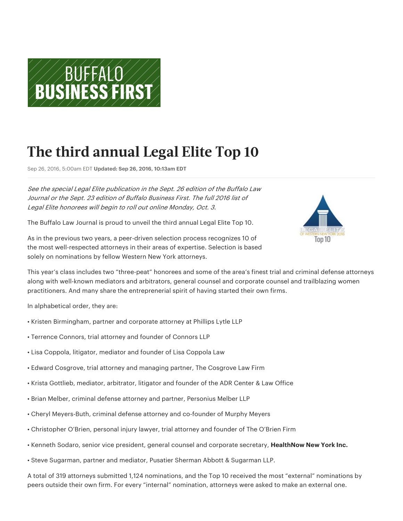

# **The third annual Legal Elite Top 10**

Sep 26, 2016, 5:00am EDT Updated: Sep 26, 2016, 10:13am EDT

See the special Legal Elite publication in the Sept. 26 edition of the Buffalo Law Journal or the Sept. 23 edition of Buffalo Business First. The full 2016 list of Legal Elite honorees will begin to roll out online Monday, Oct. 3.

The Buffalo Law Journal is proud to unveil the third annual Legal Elite Top 10.

As in the previous two years, a peer-driven selection process recognizes 10 of the most well-respected attorneys in their areas of expertise. Selection is based solely on nominations by fellow Western New York attorneys.



This year's class includes two "three-peat" honorees and some of the area's finest trial and criminal defense attorneys along with well-known mediators and arbitrators, general counsel and corporate counsel and trailblazing women practitioners. And many share the entreprenerial spirit of having started their own firms.

In alphabetical order, they are:

- Kristen Birmingham, partner and corporate attorney at Phillips Lytle LLP
- Terrence Connors, trial attorney and founder of Connors LLP
- Lisa Coppola, litigator, mediator and founder of Lisa Coppola Law
- Edward Cosgrove, trial attorney and managing partner, The Cosgrove Law Firm
- Krista Gottlieb, mediator, arbitrator, litigator and founder of the ADR Center & Law Office
- Brian Melber, criminal defense attorney and partner, Personius Melber LLP
- Cheryl Meyers-Buth, criminal defense attorney and co-founder of Murphy Meyers
- Christopher O'Brien, personal injury lawyer, trial attorney and founder of The O'Brien Firm
- Kenneth Sodaro, senior vice president, general counsel and corporate secretary, HealthNow New York Inc.
- Steve Sugarman, partner and mediator, Pusatier Sherman Abbott & Sugarman LLP.

A total of 319 attorneys submitted 1,124 nominations, and the Top 10 received the most "external" nominations by peers outside their own firm. For every "internal" nomination, attorneys were asked to make an external one.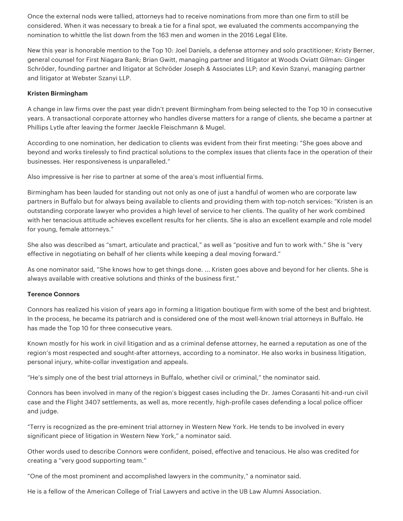Once the external nods were tallied, attorneys had to receive nominations from more than one firm to still be considered. When it was necessary to break a tie for a final spot, we evaluated the comments accompanying the nomination to whittle the list down from the 163 men and women in the 2016 Legal Elite.

New this year is honorable mention to the Top 10: Joel Daniels, a defense attorney and solo practitioner; Kristy Berner, general counsel for First Niagara Bank; Brian Gwitt, managing partner and litigator at Woods Oviatt Gilman: Ginger Schröder, founding partner and litigator at Schröder Joseph & Associates LLP; and Kevin Szanyi, managing partner and litigator at Webster Szanyi LLP.

#### Kristen Birmingham

A change in law firms over the past year didn't prevent Birmingham from being selected to the Top 10 in consecutive years. A transactional corporate attorney who handles diverse matters for a range of clients, she became a partner at Phillips Lytle after leaving the former Jaeckle Fleischmann & Mugel.

According to one nomination, her dedication to clients was evident from their first meeting: "She goes above and beyond and works tirelessly to find practical solutions to the complex issues that clients face in the operation of their businesses. Her responsiveness is unparalleled."

Also impressive is her rise to partner at some of the area's most influential firms.

Birmingham has been lauded for standing out not only as one of just a handful of women who are corporate law partners in Buffalo but for always being available to clients and providing them with top-notch services: "Kristen is an outstanding corporate lawyer who provides a high level of service to her clients. The quality of her work combined with her tenacious attitude achieves excellent results for her clients. She is also an excellent example and role model for young, female attorneys."

She also was described as "smart, articulate and practical," as well as "positive and fun to work with." She is "very effective in negotiating on behalf of her clients while keeping a deal moving forward."

As one nominator said, "She knows how to get things done. ... Kristen goes above and beyond for her clients. She is always available with creative solutions and thinks of the business first."

#### Terence Connors

Connors has realized his vision of years ago in forming a litigation boutique firm with some of the best and brightest. In the process, he became its patriarch and is considered one of the most well-known trial attorneys in Buffalo. He has made the Top 10 for three consecutive years.

Known mostly for his work in civil litigation and as a criminal defense attorney, he earned a reputation as one of the region's most respected and sought-after attorneys, according to a nominator. He also works in business litigation, personal injury, white-collar investigation and appeals.

"He's simply one of the best trial attorneys in Buffalo, whether civil or criminal," the nominator said.

Connors has been involved in many of the region's biggest cases including the Dr. James Corasanti hit-and-run civil case and the Flight 3407 settlements, as well as, more recently, high-profile cases defending a local police officer and judge.

"Terry is recognized as the pre-eminent trial attorney in Western New York. He tends to be involved in every significant piece of litigation in Western New York," a nominator said.

Other words used to describe Connors were confident, poised, effective and tenacious. He also was credited for creating a "very good supporting team."

"One of the most prominent and accomplished lawyers in the community," a nominator said.

He is a fellow of the American College of Trial Lawyers and active in the UB Law Alumni Association.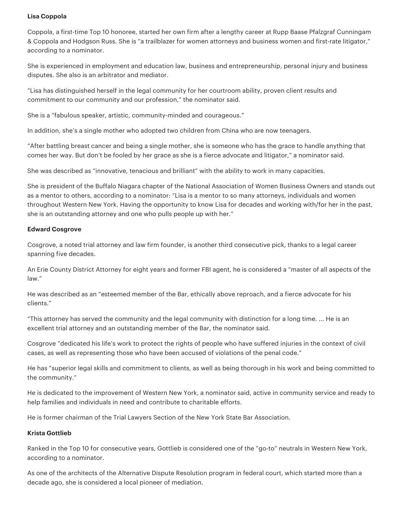## Lisa Coppola

Coppola, a first-time Top 10 honoree, started her own firm after a lengthy career at Rupp Baase Pfalzgraf Cunningam & Coppola and Hodgson Russ. She is "a trailblazer for women attorneys and business women and first-rate litigator," according to a nominator.

She is experienced in employment and education law, business and entrepreneurship, personal injury and business disputes. She also is an arbitrator and mediator.

"Lisa has distinguished herself in the legal community for her courtroom ability, proven client results and commitment to our community and our profession," the nominator said.

She is a "fabulous speaker, artistic, community-minded and courageous."

In addition, she's a single mother who adopted two children from China who are now teenagers.

"After battling breast cancer and being a single mother, she is someone who has the grace to handle anything that comes her way. But don't be fooled by her grace as she is a fierce advocate and litigator," a nominator said.

She was described as "innovative, tenacious and brilliant" with the ability to work in many capacities.

She is president of the Buffalo Niagara chapter of the National Association of Women Business Owners and stands out as a mentor to others, according to a nominator: "Lisa is a mentor to so many attorneys, individuals and women throughout Western New York. Having the opportunity to know Lisa for decades and working with/for her in the past, she is an outstanding attorney and one who pulls people up with her."

#### **Edward Cosgrove**

Cosgrove, a noted trial attorney and law firm founder, is another third consecutive pick, thanks to a legal career spanning five decades.

An Erie County District Attorney for eight years and former FBI agent, he is considered a "master of all aspects of the law."

He was described as an "esteemed member of the Bar, ethically above reproach, and a fierce advocate for his clients."

"This attorney has served the community and the legal community with distinction for a long time. ... He is an excellent trial attorney and an outstanding member of the Bar, the nominator said.

Cosgrove "dedicated his life's work to protect the rights of people who have suffered injuries in the context of civil cases, as well as representing those who have been accused of violations of the penal code."

He has "superior legal skills and commitment to clients, as well as being thorough in his work and being committed to the community."

He is dedicated to the improvement of Western New York, a nominator said, active in community service and ready to help families and individuals in need and contribute to charitable efforts.

He is former chairman of the Trial Lawyers Section of the New York State Bar Association.

#### Krista Gottlieb

Ranked in the Top 10 for consecutive years, Gottlieb is considered one of the "go-to" neutrals in Western New York, according to a nominator.

As one of the architects of the Alternative Dispute Resolution program in federal court, which started more than a decade ago, she is considered a local pioneer of mediation.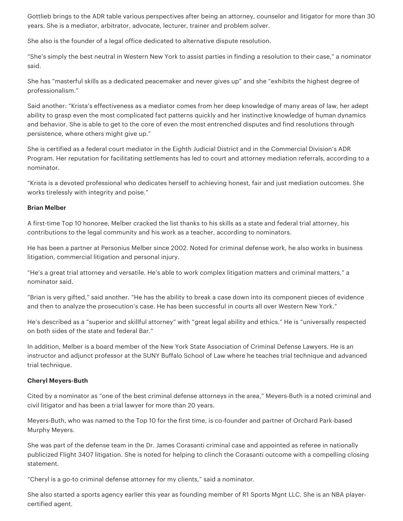Gottlieb brings to the ADR table various perspectives after being an attorney, counselor and litigator for more than 30 years. She is a mediator, arbitrator, advocate, lecturer, trainer and problem solver.

She also is the founder of a legal office dedicated to alternative dispute resolution.

"She's simply the best neutral in Western New York to assist parties in finding a resolution to their case," a nominator said.

She has "masterful skills as a dedicated peacemaker and never gives up" and she "exhibits the highest degree of professionalism."

Said another: "Krista's effectiveness as a mediator comes from her deep knowledge of many areas of law, her adept ability to grasp even the most complicated fact patterns quickly and her instinctive knowledge of human dynamics and behavior. She is able to get to the core of even the most entrenched disputes and find resolutions through persistence, where others might give up."

She is certified as a federal court mediator in the Eighth Judicial District and in the Commercial Division's ADR Program. Her reputation for facilitating settlements has led to court and attorney mediation referrals, according to a nominator.

"Krista is a devoted professional who dedicates herself to achieving honest, fair and just mediation outcomes. She works tirelessly with integrity and poise."

## Brian Melber

A first-time Top 10 honoree, Melber cracked the list thanks to his skills as a state and federal trial attorney, his contributions to the legal community and his work as a teacher, according to nominators.

He has been a partner at Personius Melber since 2002. Noted for criminal defense work, he also works in business litigation, commercial litigation and personal injury.

"He's a great trial attorney and versatile. He's able to work complex litigation matters and criminal matters," a nominator said.

"Brian is very gifted," said another. "He has the ability to break a case down into its component pieces of evidence and then to analyze the prosecution's case. He has been successful in courts all over Western New York."

He's described as a "superior and skillful attorney" with "great legal ability and ethics." He is "universally respected on both sides of the state and federal Bar."

In addition, Melber is a board member of the New York State Association of Criminal Defense Lawyers. He is an instructor and adjunct professor at the SUNY Buffalo School of Law where he teaches trial technique and advanced trial technique.

## Cheryl Meyers-Buth

Cited by a nominator as "one of the best criminal defense attorneys in the area," Meyers-Buth is a noted criminal and civil litigator and has been a trial lawyer for more than 20 years.

Meyers-Buth, who was named to the Top 10 for the first time, is co-founder and partner of Orchard Park-based Murphy Meyers.

She was part of the defense team in the Dr. James Corasanti criminal case and appointed as referee in nationally publicized Flight 3407 litigation. She is noted for helping to clinch the Corasanti outcome with a compelling closing statement.

"Cheryl is a go-to criminal defense attorney for my clients," said a nominator.

She also started a sports agency earlier this year as founding member of R1 Sports Mgnt LLC. She is an NBA playercertified agent.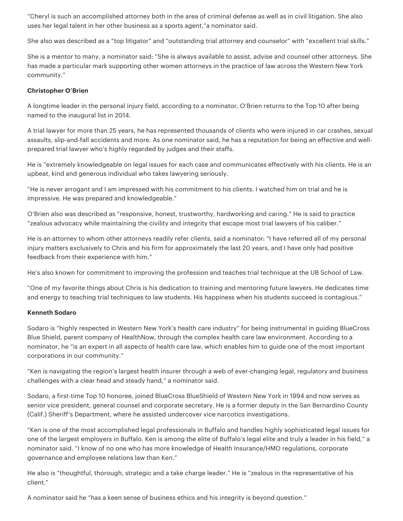"Cheryl is such an accomplished attorney both in the area of criminal defense as well as in civil litigation. She also uses her legal talent in her other business as a sports agent,"a nominator said.

She also was described as a "top litigator" and "outstanding trial attorney and counselor" with "excellent trial skills."

She is a mentor to many, a nominator said: "She is always available to assist, advise and counsel other attorneys. She has made a particular mark supporting other women attorneys in the practice of law across the Western New York community."

## Christopher O'Brien

A longtime leader in the personal injury field, according to a nominator, O'Brien returns to the Top 10 after being named to the inaugural list in 2014.

A trial lawyer for more than 25 years, he has represented thousands of clients who were injured in car crashes, sexual assaults, slip-and-fall accidents and more. As one nominator said, he has a reputation for being an effective and wellprepared trial lawyer who's highly regarded by judges and their staffs.

He is "extremely knowledgeable on legal issues for each case and communicates effectively with his clients. He is an upbeat, kind and generous individual who takes lawyering seriously.

"He is never arrogant and I am impressed with his commitment to his clients. I watched him on trial and he is impressive. He was prepared and knowledgeable."

O'Brien also was described as "responsive, honest, trustworthy, hardworking and caring." He is said to practice "zealous advocacy while maintaining the civility and integrity that escape most trial lawyers of his caliber."

He is an attorney to whom other attorneys readily refer clients, said a nominator: "I have referred all of my personal injury matters exclusively to Chris and his firm for approximately the last 20 years, and I have only had positive feedback from their experience with him."

He's also known for commitment to improving the profession and teaches trial technique at the UB School of Law.

"One of my favorite things about Chris is his dedication to training and mentoring future lawyers. He dedicates time and energy to teaching trial techniques to law students. His happiness when his students succeed is contagious."

## Kenneth Sodaro

Sodaro is "highly respected in Western New York's health care industry" for being instrumental in guiding BlueCross Blue Shield, parent company of HealthNow, through the complex health care law environment. According to a nominator, he "is an expert in all aspects of health care law, which enables him to guide one of the most important corporations in our community."

"Ken is navigating the region's largest health insurer through a web of ever-changing legal, regulatory and business challenges with a clear head and steady hand," a nominator said.

Sodaro, a first-time Top 10 honoree, joined BlueCross BlueShield of Western New York in 1994 and now serves as senior vice president, general counsel and corporate secretary. He is a former deputy in the San Bernardino County (Calif.) Sheriff's Department, where he assisted undercover vice narcotics investigations.

"Ken is one of the most accomplished legal professionals in Buffalo and handles highly sophisticated legal issues for one of the largest employers in Buffalo. Ken is among the elite of Buffalo's legal elite and truly a leader in his field," a nominator said. "I know of no one who has more knowledge of Health Insurance/HMO regulations, corporate governance and employee relations law than Ken."

He also is "thoughtful, thorough, strategic and a take charge leader." He is "zealous in the representative of his client."

A nominator said he "has a keen sense of business ethics and his integrity is beyond question."